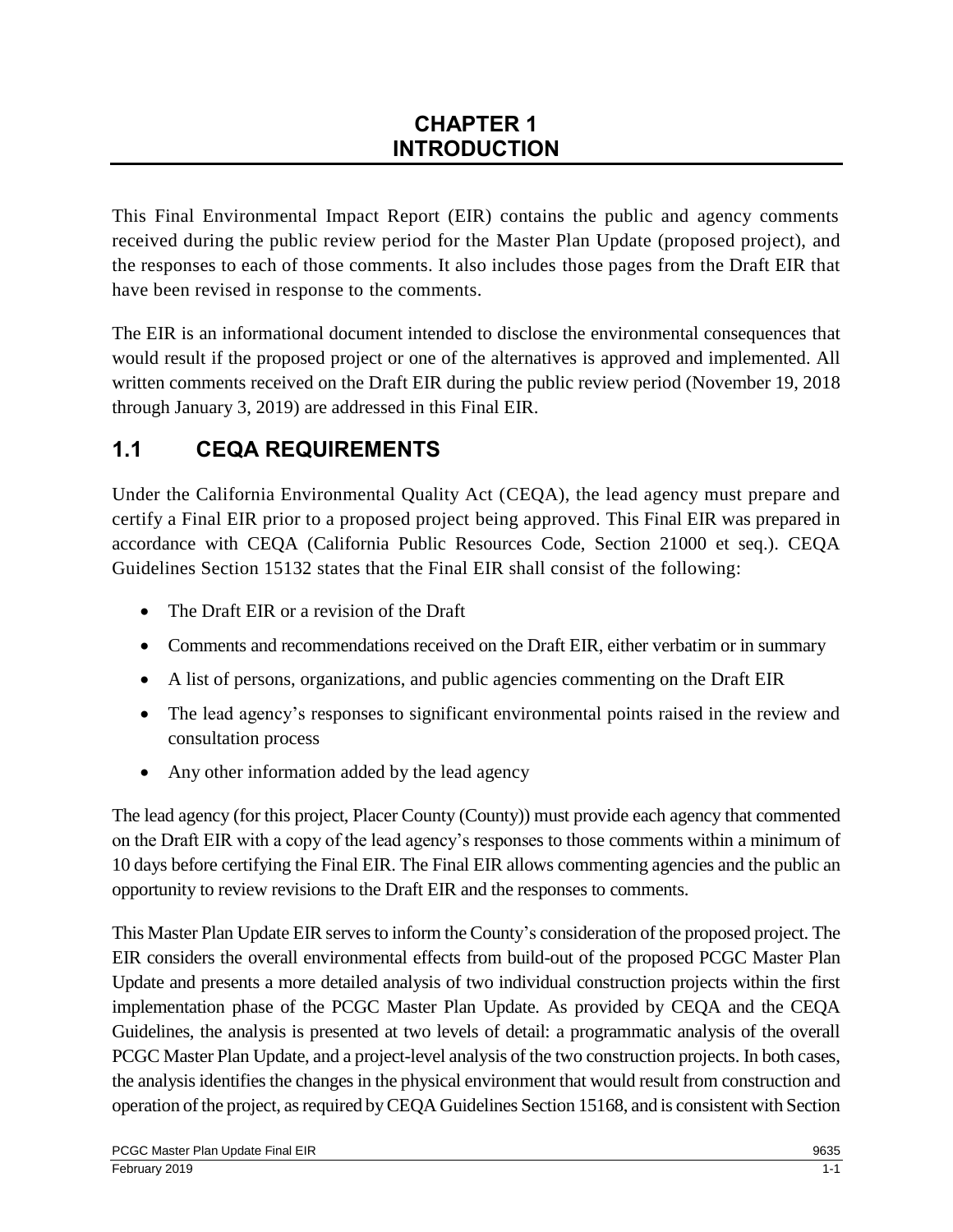This Final Environmental Impact Report (EIR) contains the public and agency comments received during the public review period for the Master Plan Update (proposed project), and the responses to each of those comments. It also includes those pages from the Draft EIR that have been revised in response to the comments.

The EIR is an informational document intended to disclose the environmental consequences that would result if the proposed project or one of the alternatives is approved and implemented. All written comments received on the Draft EIR during the public review period (November 19, 2018 through January 3, 2019) are addressed in this Final EIR.

## **1.1 CEQA REQUIREMENTS**

Under the California Environmental Quality Act (CEQA), the lead agency must prepare and certify a Final EIR prior to a proposed project being approved. This Final EIR was prepared in accordance with CEQA (California Public Resources Code, Section 21000 et seq.). CEQA Guidelines Section 15132 states that the Final EIR shall consist of the following:

- The Draft EIR or a revision of the Draft
- Comments and recommendations received on the Draft EIR, either verbatim or in summary
- A list of persons, organizations, and public agencies commenting on the Draft EIR
- The lead agency's responses to significant environmental points raised in the review and consultation process
- Any other information added by the lead agency

The lead agency (for this project, Placer County (County)) must provide each agency that commented on the Draft EIR with a copy of the lead agency's responses to those comments within a minimum of 10 days before certifying the Final EIR. The Final EIR allows commenting agencies and the public an opportunity to review revisions to the Draft EIR and the responses to comments.

This Master Plan Update EIR serves to inform the County's consideration of the proposed project. The EIR considers the overall environmental effects from build-out of the proposed PCGC Master Plan Update and presents a more detailed analysis of two individual construction projects within the first implementation phase of the PCGC Master Plan Update. As provided by CEQA and the CEQA Guidelines, the analysis is presented at two levels of detail: a programmatic analysis of the overall PCGC Master Plan Update, and a project-level analysis of the two construction projects. In both cases, the analysis identifies the changes in the physical environment that would result from construction and operation of the project, as required by CEQA Guidelines Section 15168, and is consistent with Section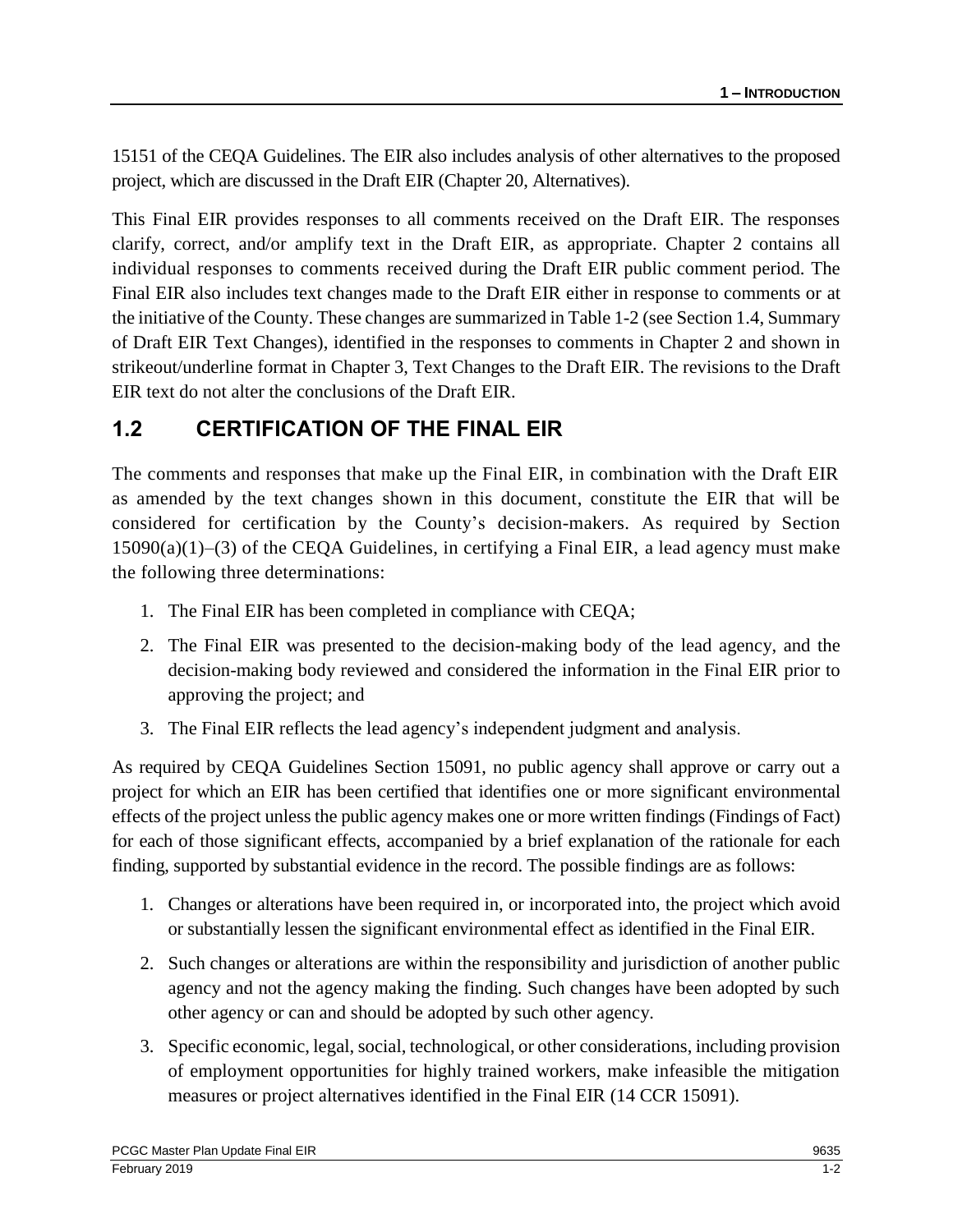15151 of the CEQA Guidelines. The EIR also includes analysis of other alternatives to the proposed project, which are discussed in the Draft EIR (Chapter 20, Alternatives).

This Final EIR provides responses to all comments received on the Draft EIR. The responses clarify, correct, and/or amplify text in the Draft EIR, as appropriate. Chapter 2 contains all individual responses to comments received during the Draft EIR public comment period. The Final EIR also includes text changes made to the Draft EIR either in response to comments or at the initiative of the County. These changes are summarized in Table 1-2 (see Section 1.4, Summary of Draft EIR Text Changes), identified in the responses to comments in Chapter 2 and shown in strikeout/underline format in Chapter 3, Text Changes to the Draft EIR. The revisions to the Draft EIR text do not alter the conclusions of the Draft EIR.

# **1.2 CERTIFICATION OF THE FINAL EIR**

The comments and responses that make up the Final EIR, in combination with the Draft EIR as amended by the text changes shown in this document, constitute the EIR that will be considered for certification by the County's decision-makers. As required by Section  $15090(a)(1)–(3)$  of the CEQA Guidelines, in certifying a Final EIR, a lead agency must make the following three determinations:

- 1. The Final EIR has been completed in compliance with CEQA;
- 2. The Final EIR was presented to the decision-making body of the lead agency, and the decision-making body reviewed and considered the information in the Final EIR prior to approving the project; and
- 3. The Final EIR reflects the lead agency's independent judgment and analysis.

As required by CEQA Guidelines Section 15091, no public agency shall approve or carry out a project for which an EIR has been certified that identifies one or more significant environmental effects of the project unless the public agency makes one or more written findings (Findings of Fact) for each of those significant effects, accompanied by a brief explanation of the rationale for each finding, supported by substantial evidence in the record. The possible findings are as follows:

- 1. Changes or alterations have been required in, or incorporated into, the project which avoid or substantially lessen the significant environmental effect as identified in the Final EIR.
- 2. Such changes or alterations are within the responsibility and jurisdiction of another public agency and not the agency making the finding. Such changes have been adopted by such other agency or can and should be adopted by such other agency.
- 3. Specific economic, legal, social, technological, or other considerations, including provision of employment opportunities for highly trained workers, make infeasible the mitigation measures or project alternatives identified in the Final EIR (14 CCR 15091).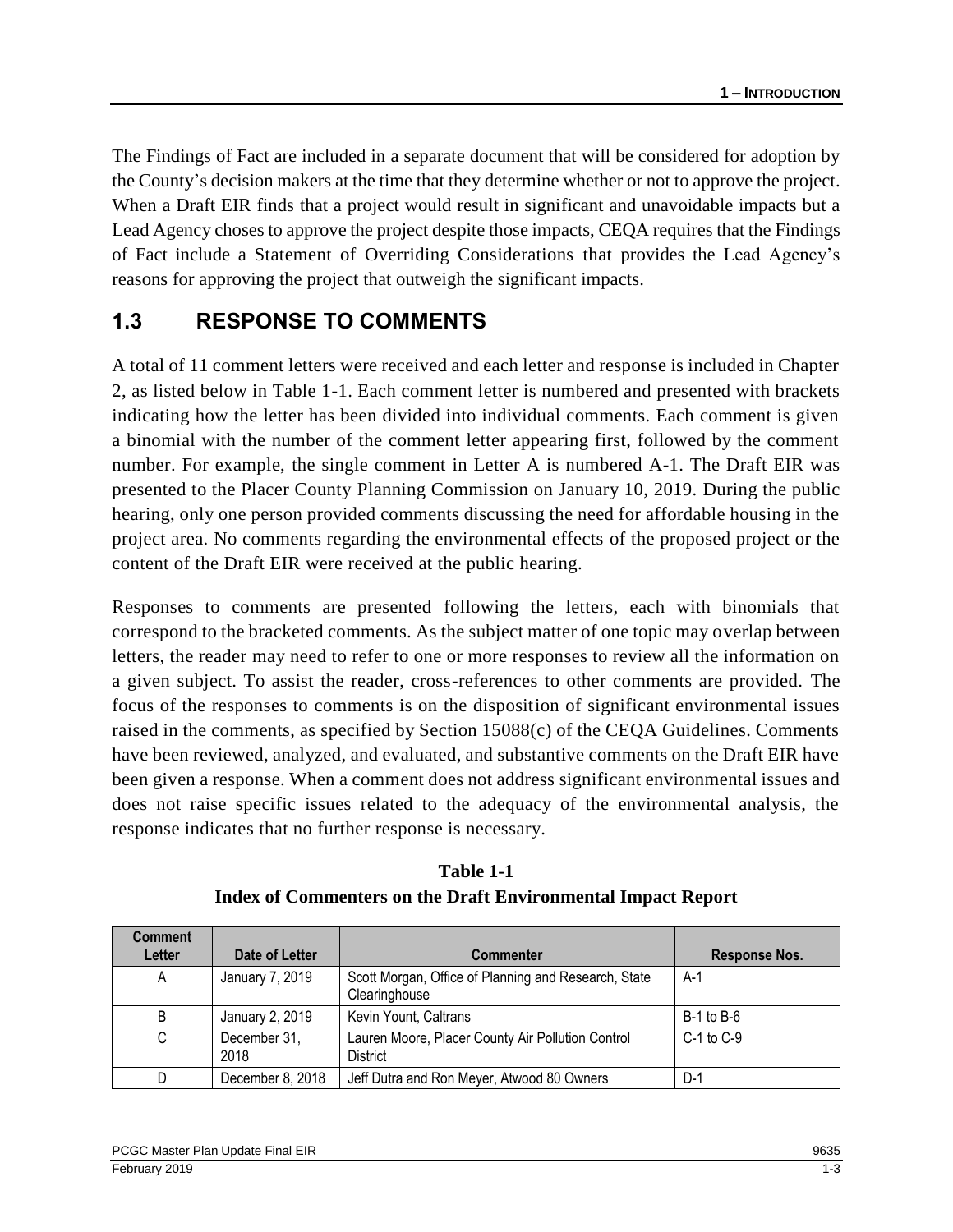The Findings of Fact are included in a separate document that will be considered for adoption by the County's decision makers at the time that they determine whether or not to approve the project. When a Draft EIR finds that a project would result in significant and unavoidable impacts but a Lead Agency choses to approve the project despite those impacts, CEQA requires that the Findings of Fact include a Statement of Overriding Considerations that provides the Lead Agency's reasons for approving the project that outweigh the significant impacts.

### **1.3 RESPONSE TO COMMENTS**

A total of 11 comment letters were received and each letter and response is included in Chapter 2, as listed below in Table 1-1. Each comment letter is numbered and presented with brackets indicating how the letter has been divided into individual comments. Each comment is given a binomial with the number of the comment letter appearing first, followed by the comment number. For example, the single comment in Letter A is numbered A-1. The Draft EIR was presented to the Placer County Planning Commission on January 10, 2019. During the public hearing, only one person provided comments discussing the need for affordable housing in the project area. No comments regarding the environmental effects of the proposed project or the content of the Draft EIR were received at the public hearing.

Responses to comments are presented following the letters, each with binomials that correspond to the bracketed comments. As the subject matter of one topic may overlap between letters, the reader may need to refer to one or more responses to review all the information on a given subject. To assist the reader, cross-references to other comments are provided. The focus of the responses to comments is on the disposition of significant environmental issues raised in the comments, as specified by Section 15088(c) of the CEQA Guidelines. Comments have been reviewed, analyzed, and evaluated, and substantive comments on the Draft EIR have been given a response. When a comment does not address significant environmental issues and does not raise specific issues related to the adequacy of the environmental analysis, the response indicates that no further response is necessary.

| <b>Comment</b><br>Letter | Date of Letter       | <b>Commenter</b>                                                      | Response Nos.  |
|--------------------------|----------------------|-----------------------------------------------------------------------|----------------|
|                          |                      |                                                                       |                |
| A                        | January 7, 2019      | Scott Morgan, Office of Planning and Research, State<br>Clearinghouse | $A-1$          |
| B                        | January 2, 2019      | Kevin Yount, Caltrans                                                 | $B-1$ to $B-6$ |
| C                        | December 31,<br>2018 | Lauren Moore, Placer County Air Pollution Control<br>District         | $C-1$ to $C-9$ |
|                          | December 8, 2018     | Jeff Dutra and Ron Meyer, Atwood 80 Owners                            | D-1            |

**Table 1-1 Index of Commenters on the Draft Environmental Impact Report**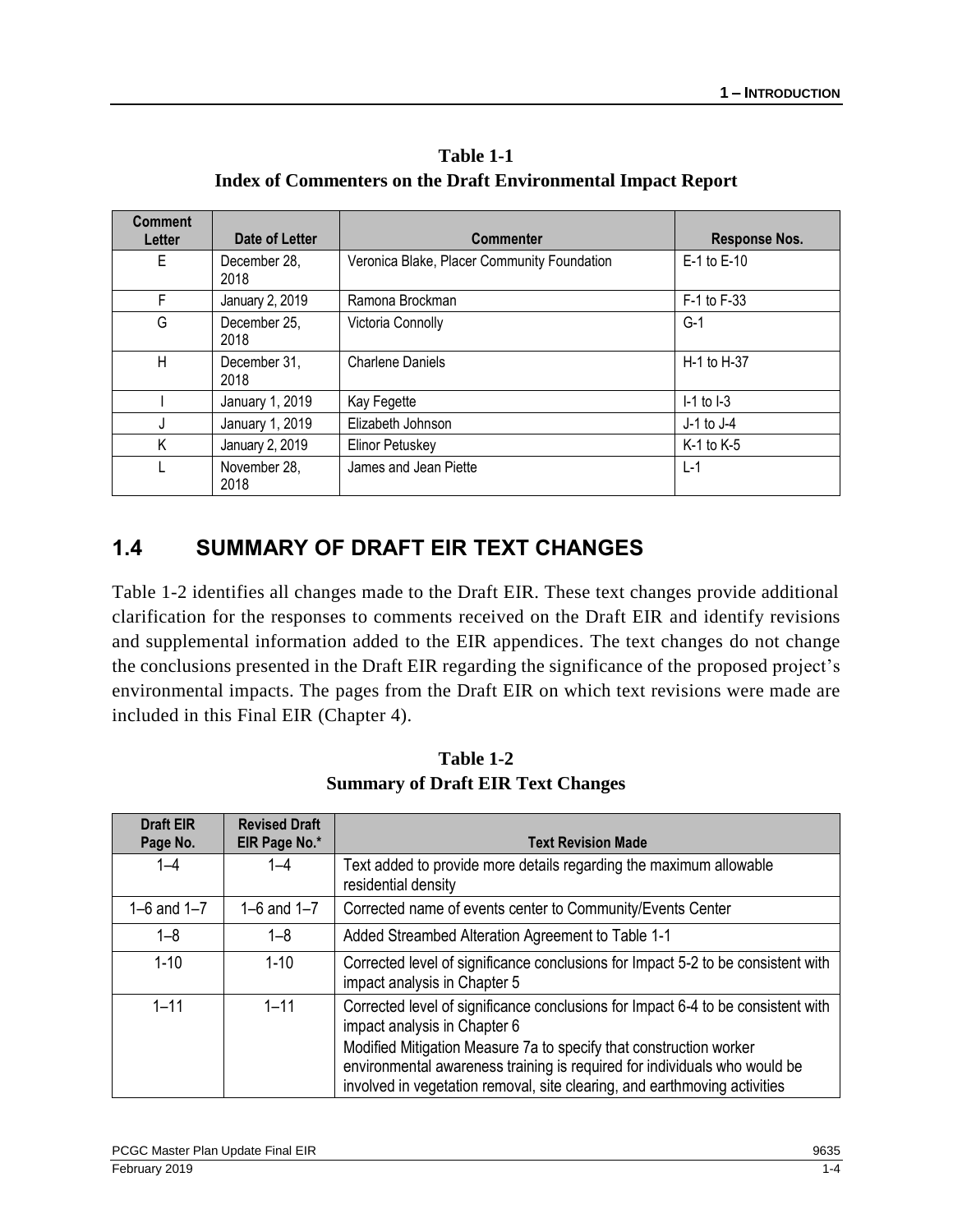**Table 1-1 Index of Commenters on the Draft Environmental Impact Report**

| <b>Comment</b><br>Letter | Date of Letter       | <b>Commenter</b>                            | <b>Response Nos.</b> |
|--------------------------|----------------------|---------------------------------------------|----------------------|
| Е                        | December 28,<br>2018 | Veronica Blake, Placer Community Foundation | E-1 to E-10          |
| F                        | January 2, 2019      | Ramona Brockman                             | F-1 to F-33          |
| G                        | December 25,<br>2018 | Victoria Connolly                           | G-1                  |
| Н                        | December 31,<br>2018 | <b>Charlene Daniels</b>                     | H-1 to H-37          |
|                          | January 1, 2019      | Kay Fegette                                 | $I-1$ to $I-3$       |
| J                        | January 1, 2019      | Elizabeth Johnson                           | $J-1$ to $J-4$       |
| Κ                        | January 2, 2019      | <b>Elinor Petuskey</b>                      | $K-1$ to $K-5$       |
|                          | November 28,<br>2018 | James and Jean Piette                       | $L-1$                |

### **1.4 SUMMARY OF DRAFT EIR TEXT CHANGES**

Table 1-2 identifies all changes made to the Draft EIR. These text changes provide additional clarification for the responses to comments received on the Draft EIR and identify revisions and supplemental information added to the EIR appendices. The text changes do not change the conclusions presented in the Draft EIR regarding the significance of the proposed project's environmental impacts. The pages from the Draft EIR on which text revisions were made are included in this Final EIR (Chapter 4).

| <b>Draft EIR</b><br>Page No. | <b>Revised Draft</b><br>EIR Page No.* | <b>Text Revision Made</b>                                                                                                                                                                                                                                                                                                                        |
|------------------------------|---------------------------------------|--------------------------------------------------------------------------------------------------------------------------------------------------------------------------------------------------------------------------------------------------------------------------------------------------------------------------------------------------|
| $1 - 4$                      | $1 - 4$                               | Text added to provide more details regarding the maximum allowable<br>residential density                                                                                                                                                                                                                                                        |
| 1–6 and $1-7$                | 1–6 and $1-7$                         | Corrected name of events center to Community/Events Center                                                                                                                                                                                                                                                                                       |
| 1–8                          | 1–8                                   | Added Streambed Alteration Agreement to Table 1-1                                                                                                                                                                                                                                                                                                |
| $1 - 10$                     | $1 - 10$                              | Corrected level of significance conclusions for Impact 5-2 to be consistent with<br>impact analysis in Chapter 5                                                                                                                                                                                                                                 |
| $1 - 11$                     | $1 - 11$                              | Corrected level of significance conclusions for Impact 6-4 to be consistent with<br>impact analysis in Chapter 6<br>Modified Mitigation Measure 7a to specify that construction worker<br>environmental awareness training is required for individuals who would be<br>involved in vegetation removal, site clearing, and earthmoving activities |

**Table 1-2 Summary of Draft EIR Text Changes**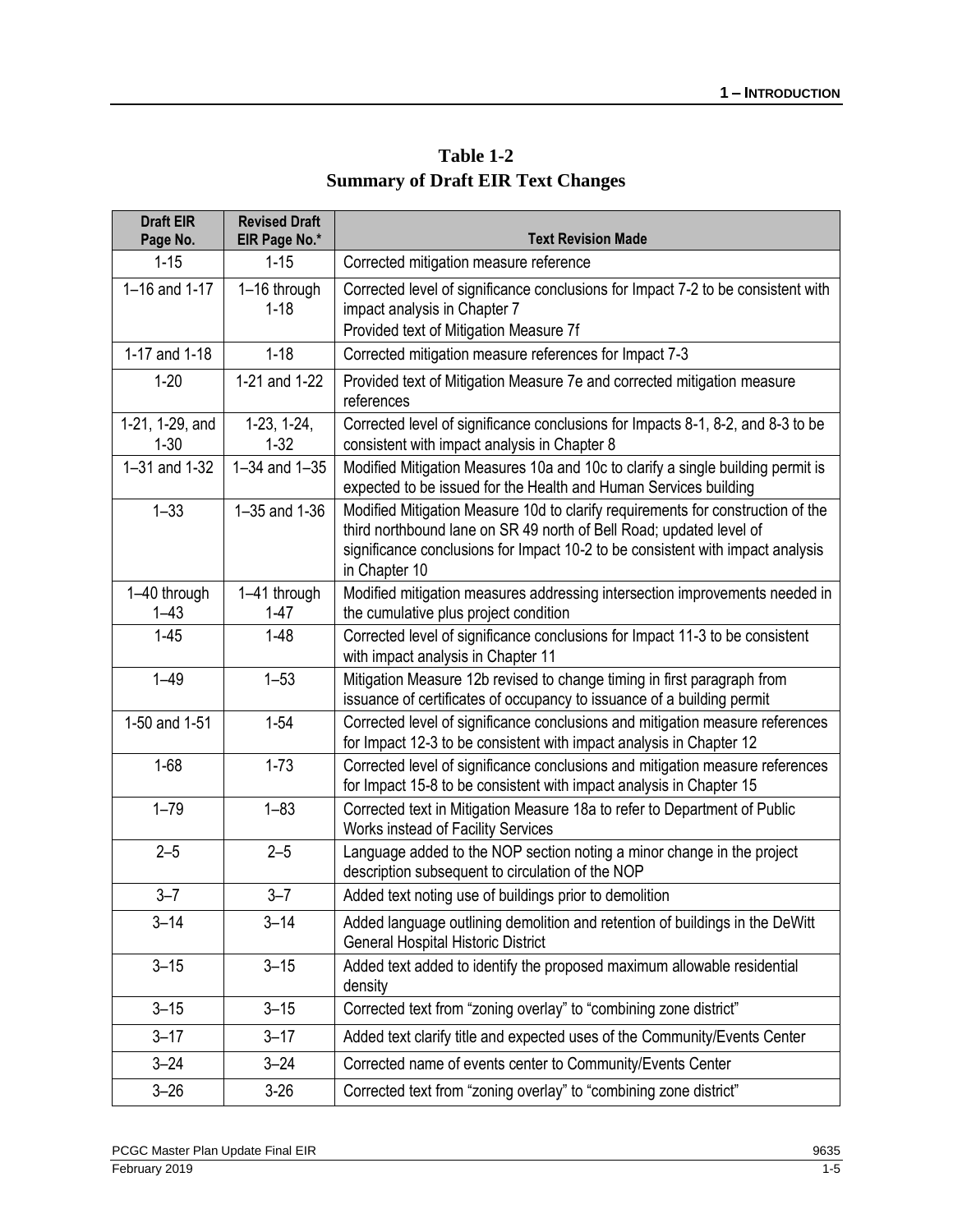| Table 1-2                                |
|------------------------------------------|
| <b>Summary of Draft EIR Text Changes</b> |

| <b>Draft EIR</b><br>Page No. | <b>Revised Draft</b><br>EIR Page No.* | <b>Text Revision Made</b>                                                                                                                                                                                                                                 |
|------------------------------|---------------------------------------|-----------------------------------------------------------------------------------------------------------------------------------------------------------------------------------------------------------------------------------------------------------|
| $1 - 15$                     | $1 - 15$                              | Corrected mitigation measure reference                                                                                                                                                                                                                    |
| 1-16 and 1-17                | 1-16 through<br>$1 - 18$              | Corrected level of significance conclusions for Impact 7-2 to be consistent with<br>impact analysis in Chapter 7<br>Provided text of Mitigation Measure 7f                                                                                                |
| 1-17 and 1-18                | $1 - 18$                              | Corrected mitigation measure references for Impact 7-3                                                                                                                                                                                                    |
| $1 - 20$                     | 1-21 and 1-22                         | Provided text of Mitigation Measure 7e and corrected mitigation measure<br>references                                                                                                                                                                     |
| 1-21, 1-29, and<br>$1 - 30$  | $1-23, 1-24,$<br>$1 - 32$             | Corrected level of significance conclusions for Impacts 8-1, 8-2, and 8-3 to be<br>consistent with impact analysis in Chapter 8                                                                                                                           |
| 1-31 and 1-32                | $1 - 34$ and $1 - 35$                 | Modified Mitigation Measures 10a and 10c to clarify a single building permit is<br>expected to be issued for the Health and Human Services building                                                                                                       |
| $1 - 33$                     | 1-35 and 1-36                         | Modified Mitigation Measure 10d to clarify requirements for construction of the<br>third northbound lane on SR 49 north of Bell Road; updated level of<br>significance conclusions for Impact 10-2 to be consistent with impact analysis<br>in Chapter 10 |
| 1-40 through<br>$1 - 43$     | 1-41 through<br>$1 - 47$              | Modified mitigation measures addressing intersection improvements needed in<br>the cumulative plus project condition                                                                                                                                      |
| $1 - 45$                     | $1 - 48$                              | Corrected level of significance conclusions for Impact 11-3 to be consistent<br>with impact analysis in Chapter 11                                                                                                                                        |
| $1 - 49$                     | $1 - 53$                              | Mitigation Measure 12b revised to change timing in first paragraph from<br>issuance of certificates of occupancy to issuance of a building permit                                                                                                         |
| 1-50 and 1-51                | $1 - 54$                              | Corrected level of significance conclusions and mitigation measure references<br>for Impact 12-3 to be consistent with impact analysis in Chapter 12                                                                                                      |
| $1 - 68$                     | $1 - 73$                              | Corrected level of significance conclusions and mitigation measure references<br>for Impact 15-8 to be consistent with impact analysis in Chapter 15                                                                                                      |
| $1 - 79$                     | $1 - 83$                              | Corrected text in Mitigation Measure 18a to refer to Department of Public<br>Works instead of Facility Services                                                                                                                                           |
| $2 - 5$                      | $2 - 5$                               | Language added to the NOP section noting a minor change in the project<br>description subsequent to circulation of the NOP                                                                                                                                |
| $3 - 7$                      | $3 - 7$                               | Added text noting use of buildings prior to demolition                                                                                                                                                                                                    |
| $3 - 14$                     | $3 - 14$                              | Added language outlining demolition and retention of buildings in the DeWitt<br><b>General Hospital Historic District</b>                                                                                                                                 |
| $3 - 15$                     | $3 - 15$                              | Added text added to identify the proposed maximum allowable residential<br>density                                                                                                                                                                        |
| $3 - 15$                     | $3 - 15$                              | Corrected text from "zoning overlay" to "combining zone district"                                                                                                                                                                                         |
| $3 - 17$                     | $3 - 17$                              | Added text clarify title and expected uses of the Community/Events Center                                                                                                                                                                                 |
| $3 - 24$                     | $3 - 24$                              | Corrected name of events center to Community/Events Center                                                                                                                                                                                                |
| $3 - 26$                     | $3-26$                                | Corrected text from "zoning overlay" to "combining zone district"                                                                                                                                                                                         |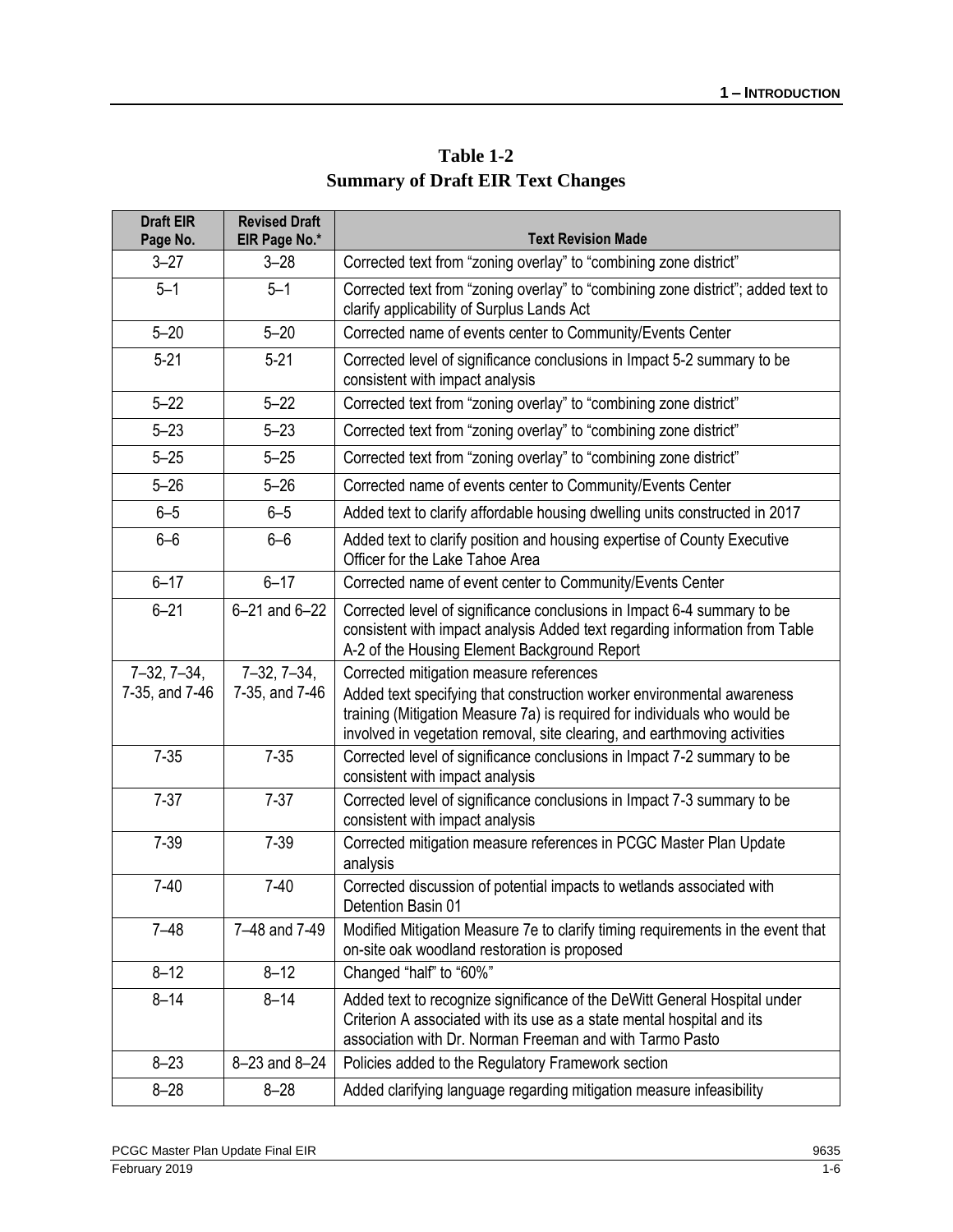| Table 1-2                                |
|------------------------------------------|
| <b>Summary of Draft EIR Text Changes</b> |

| <b>Draft EIR</b><br>Page No.    | <b>Revised Draft</b><br>EIR Page No.* | <b>Text Revision Made</b>                                                                                                                                                                                                                                                   |  |
|---------------------------------|---------------------------------------|-----------------------------------------------------------------------------------------------------------------------------------------------------------------------------------------------------------------------------------------------------------------------------|--|
| $3 - 27$                        | $3 - 28$                              | Corrected text from "zoning overlay" to "combining zone district"                                                                                                                                                                                                           |  |
| $5 - 1$                         | $5 - 1$                               | Corrected text from "zoning overlay" to "combining zone district"; added text to<br>clarify applicability of Surplus Lands Act                                                                                                                                              |  |
| $5 - 20$                        | $5 - 20$                              | Corrected name of events center to Community/Events Center                                                                                                                                                                                                                  |  |
| $5 - 21$                        | $5 - 21$                              | Corrected level of significance conclusions in Impact 5-2 summary to be<br>consistent with impact analysis                                                                                                                                                                  |  |
| $5 - 22$                        | $5 - 22$                              | Corrected text from "zoning overlay" to "combining zone district"                                                                                                                                                                                                           |  |
| $5 - 23$                        | $5 - 23$                              | Corrected text from "zoning overlay" to "combining zone district"                                                                                                                                                                                                           |  |
| $5 - 25$                        | $5 - 25$                              | Corrected text from "zoning overlay" to "combining zone district"                                                                                                                                                                                                           |  |
| $5 - 26$                        | $5 - 26$                              | Corrected name of events center to Community/Events Center                                                                                                                                                                                                                  |  |
| $6 - 5$                         | $6 - 5$                               | Added text to clarify affordable housing dwelling units constructed in 2017                                                                                                                                                                                                 |  |
| $6-6$                           | $6-6$                                 | Added text to clarify position and housing expertise of County Executive<br>Officer for the Lake Tahoe Area                                                                                                                                                                 |  |
| $6 - 17$                        | $6 - 17$                              | Corrected name of event center to Community/Events Center                                                                                                                                                                                                                   |  |
| $6 - 21$                        | $6 - 21$ and $6 - 22$                 | Corrected level of significance conclusions in Impact 6-4 summary to be<br>consistent with impact analysis Added text regarding information from Table<br>A-2 of the Housing Element Background Report                                                                      |  |
| $7-32, 7-34,$<br>7-35, and 7-46 | $7-32, 7-34,$<br>7-35, and 7-46       | Corrected mitigation measure references<br>Added text specifying that construction worker environmental awareness<br>training (Mitigation Measure 7a) is required for individuals who would be<br>involved in vegetation removal, site clearing, and earthmoving activities |  |
| $7 - 35$                        | $7 - 35$                              | Corrected level of significance conclusions in Impact 7-2 summary to be<br>consistent with impact analysis                                                                                                                                                                  |  |
| $7 - 37$                        | $7 - 37$                              | Corrected level of significance conclusions in Impact 7-3 summary to be<br>consistent with impact analysis                                                                                                                                                                  |  |
| $7 - 39$                        | $7 - 39$                              | Corrected mitigation measure references in PCGC Master Plan Update<br>analysis                                                                                                                                                                                              |  |
| $7 - 40$                        | $7-40$                                | Corrected discussion of potential impacts to wetlands associated with<br>Detention Basin 01                                                                                                                                                                                 |  |
| $7 - 48$                        | 7-48 and 7-49                         | Modified Mitigation Measure 7e to clarify timing requirements in the event that<br>on-site oak woodland restoration is proposed                                                                                                                                             |  |
| $8 - 12$                        | $8 - 12$                              | Changed "half" to "60%"                                                                                                                                                                                                                                                     |  |
| $8 - 14$                        | $8 - 14$                              | Added text to recognize significance of the DeWitt General Hospital under<br>Criterion A associated with its use as a state mental hospital and its<br>association with Dr. Norman Freeman and with Tarmo Pasto                                                             |  |
| $8 - 23$                        | 8-23 and 8-24                         | Policies added to the Regulatory Framework section                                                                                                                                                                                                                          |  |
| $8 - 28$                        | $8 - 28$                              | Added clarifying language regarding mitigation measure infeasibility                                                                                                                                                                                                        |  |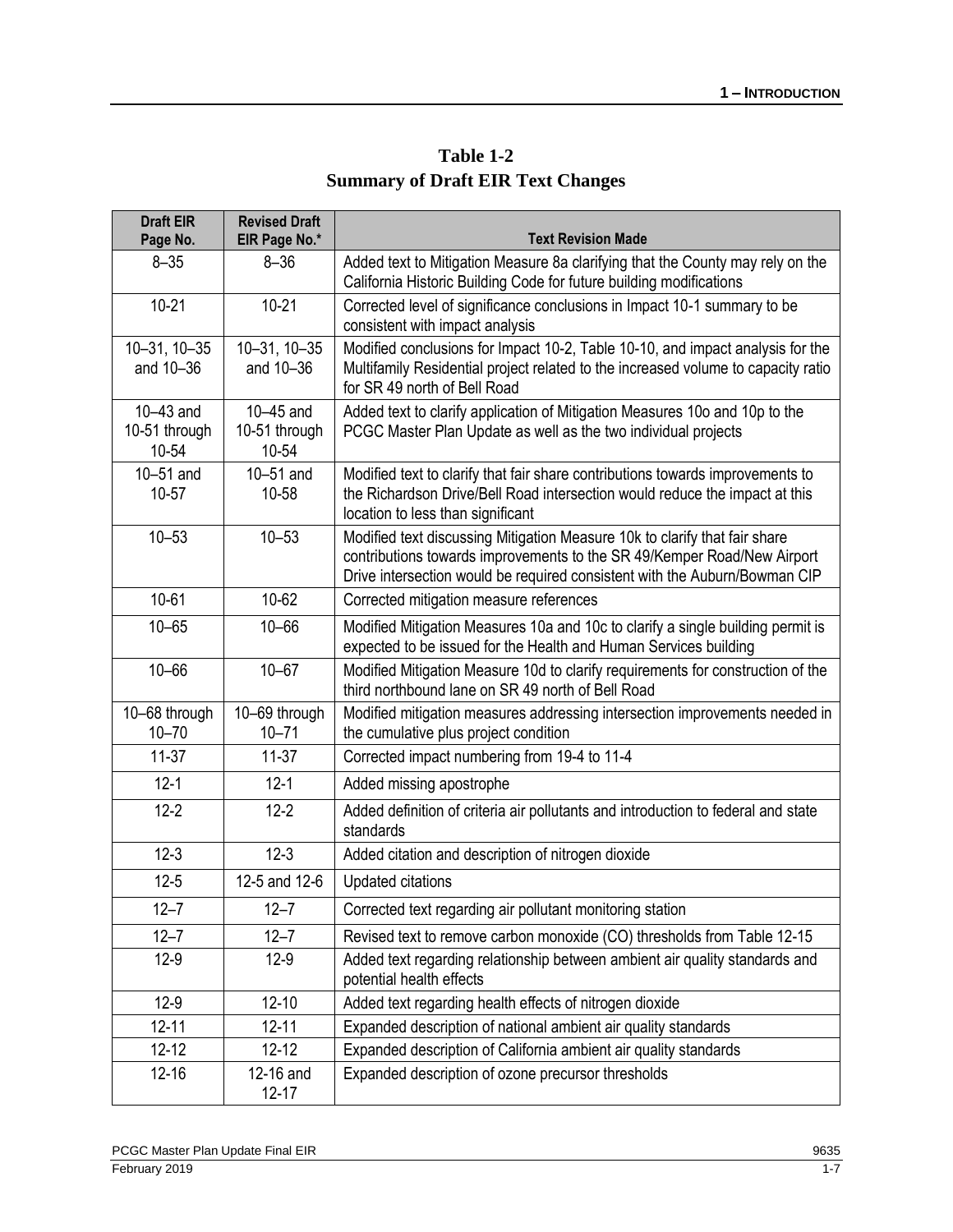| Table 1-2                                |
|------------------------------------------|
| <b>Summary of Draft EIR Text Changes</b> |

| <b>Draft EIR</b><br>Page No.          | <b>Revised Draft</b><br>EIR Page No.* | <b>Text Revision Made</b>                                                                                                                                                                                                           |
|---------------------------------------|---------------------------------------|-------------------------------------------------------------------------------------------------------------------------------------------------------------------------------------------------------------------------------------|
| $8 - 35$                              | $8 - 36$                              | Added text to Mitigation Measure 8a clarifying that the County may rely on the<br>California Historic Building Code for future building modifications                                                                               |
| $10 - 21$                             | $10 - 21$                             | Corrected level of significance conclusions in Impact 10-1 summary to be<br>consistent with impact analysis                                                                                                                         |
| 10-31, 10-35<br>and 10-36             | $10 - 31$ , $10 - 35$<br>and 10-36    | Modified conclusions for Impact 10-2, Table 10-10, and impact analysis for the<br>Multifamily Residential project related to the increased volume to capacity ratio<br>for SR 49 north of Bell Road                                 |
| $10-43$ and<br>10-51 through<br>10-54 | $10-45$ and<br>10-51 through<br>10-54 | Added text to clarify application of Mitigation Measures 10o and 10p to the<br>PCGC Master Plan Update as well as the two individual projects                                                                                       |
| $10-51$ and<br>10-57                  | $10-51$ and<br>10-58                  | Modified text to clarify that fair share contributions towards improvements to<br>the Richardson Drive/Bell Road intersection would reduce the impact at this<br>location to less than significant                                  |
| $10 - 53$                             | $10 - 53$                             | Modified text discussing Mitigation Measure 10k to clarify that fair share<br>contributions towards improvements to the SR 49/Kemper Road/New Airport<br>Drive intersection would be required consistent with the Auburn/Bowman CIP |
| $10 - 61$                             | 10-62                                 | Corrected mitigation measure references                                                                                                                                                                                             |
| $10 - 65$                             | $10 - 66$                             | Modified Mitigation Measures 10a and 10c to clarify a single building permit is<br>expected to be issued for the Health and Human Services building                                                                                 |
| $10 - 66$                             | $10 - 67$                             | Modified Mitigation Measure 10d to clarify requirements for construction of the<br>third northbound lane on SR 49 north of Bell Road                                                                                                |
| 10-68 through<br>$10 - 70$            | 10-69 through<br>$10 - 71$            | Modified mitigation measures addressing intersection improvements needed in<br>the cumulative plus project condition                                                                                                                |
| $11-37$                               | $11-37$                               | Corrected impact numbering from 19-4 to 11-4                                                                                                                                                                                        |
| $12 - 1$                              | $12 - 1$                              | Added missing apostrophe                                                                                                                                                                                                            |
| $12 - 2$                              | $12 - 2$                              | Added definition of criteria air pollutants and introduction to federal and state<br>standards                                                                                                                                      |
| $12 - 3$                              | $12 - 3$                              | Added citation and description of nitrogen dioxide                                                                                                                                                                                  |
| $12 - 5$                              | 12-5 and 12-6                         | <b>Updated citations</b>                                                                                                                                                                                                            |
| $12 - 7$                              | $12 - 7$                              | Corrected text regarding air pollutant monitoring station                                                                                                                                                                           |
| $12 - 7$                              | $12 - 7$                              | Revised text to remove carbon monoxide (CO) thresholds from Table 12-15                                                                                                                                                             |
| $12-9$                                | $12-9$                                | Added text regarding relationship between ambient air quality standards and<br>potential health effects                                                                                                                             |
| $12-9$                                | $12 - 10$                             | Added text regarding health effects of nitrogen dioxide                                                                                                                                                                             |
| $12 - 11$                             | $12 - 11$                             | Expanded description of national ambient air quality standards                                                                                                                                                                      |
| $12 - 12$                             | $12 - 12$                             | Expanded description of California ambient air quality standards                                                                                                                                                                    |
| $12 - 16$                             | 12-16 and<br>$12 - 17$                | Expanded description of ozone precursor thresholds                                                                                                                                                                                  |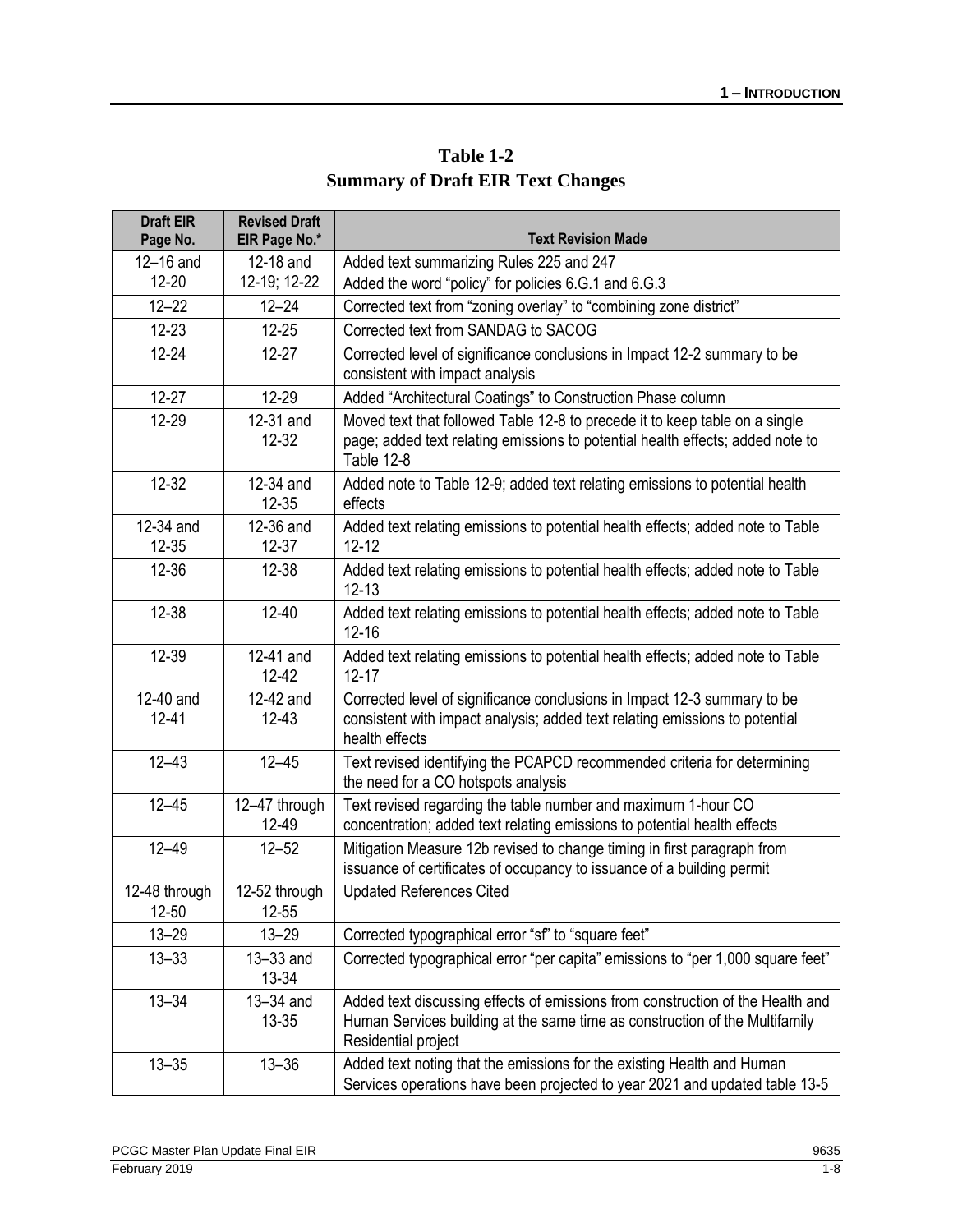| Table 1-2                                |
|------------------------------------------|
| <b>Summary of Draft EIR Text Changes</b> |

| <b>Draft EIR</b><br>Page No. | <b>Revised Draft</b><br>EIR Page No.* | <b>Text Revision Made</b>                                                                                                                                                            |
|------------------------------|---------------------------------------|--------------------------------------------------------------------------------------------------------------------------------------------------------------------------------------|
| $12-16$ and                  | 12-18 and                             | Added text summarizing Rules 225 and 247                                                                                                                                             |
| $12 - 20$                    | 12-19; 12-22                          | Added the word "policy" for policies 6.G.1 and 6.G.3                                                                                                                                 |
| $12 - 22$                    | $12 - 24$                             | Corrected text from "zoning overlay" to "combining zone district"                                                                                                                    |
| $12 - 23$                    | $12 - 25$                             | Corrected text from SANDAG to SACOG                                                                                                                                                  |
| $12 - 24$                    | $12 - 27$                             | Corrected level of significance conclusions in Impact 12-2 summary to be<br>consistent with impact analysis                                                                          |
| $12 - 27$                    | 12-29                                 | Added "Architectural Coatings" to Construction Phase column                                                                                                                          |
| 12-29                        | 12-31 and<br>$12 - 32$                | Moved text that followed Table 12-8 to precede it to keep table on a single<br>page; added text relating emissions to potential health effects; added note to<br><b>Table 12-8</b>   |
| $12 - 32$                    | 12-34 and<br>$12 - 35$                | Added note to Table 12-9; added text relating emissions to potential health<br>effects                                                                                               |
| 12-34 and<br>12-35           | 12-36 and<br>$12 - 37$                | Added text relating emissions to potential health effects; added note to Table<br>$12 - 12$                                                                                          |
| 12-36                        | 12-38                                 | Added text relating emissions to potential health effects; added note to Table<br>$12 - 13$                                                                                          |
| 12-38                        | $12 - 40$                             | Added text relating emissions to potential health effects; added note to Table<br>$12 - 16$                                                                                          |
| 12-39                        | 12-41 and<br>12-42                    | Added text relating emissions to potential health effects; added note to Table<br>$12 - 17$                                                                                          |
| 12-40 and<br>$12 - 41$       | 12-42 and<br>$12 - 43$                | Corrected level of significance conclusions in Impact 12-3 summary to be<br>consistent with impact analysis; added text relating emissions to potential<br>health effects            |
| $12 - 43$                    | $12 - 45$                             | Text revised identifying the PCAPCD recommended criteria for determining<br>the need for a CO hotspots analysis                                                                      |
| $12 - 45$                    | 12-47 through<br>12-49                | Text revised regarding the table number and maximum 1-hour CO<br>concentration; added text relating emissions to potential health effects                                            |
| $12 - 49$                    | $12 - 52$                             | Mitigation Measure 12b revised to change timing in first paragraph from<br>issuance of certificates of occupancy to issuance of a building permit                                    |
| 12-48 through<br>$12 - 50$   | 12-52 through<br>$12 - 55$            | <b>Updated References Cited</b>                                                                                                                                                      |
| $13 - 29$                    | $13 - 29$                             | Corrected typographical error "sf" to "square feet"                                                                                                                                  |
| $13 - 33$                    | 13-33 and<br>13-34                    | Corrected typographical error "per capita" emissions to "per 1,000 square feet"                                                                                                      |
| $13 - 34$                    | 13-34 and<br>13-35                    | Added text discussing effects of emissions from construction of the Health and<br>Human Services building at the same time as construction of the Multifamily<br>Residential project |
| $13 - 35$                    | $13 - 36$                             | Added text noting that the emissions for the existing Health and Human<br>Services operations have been projected to year 2021 and updated table 13-5                                |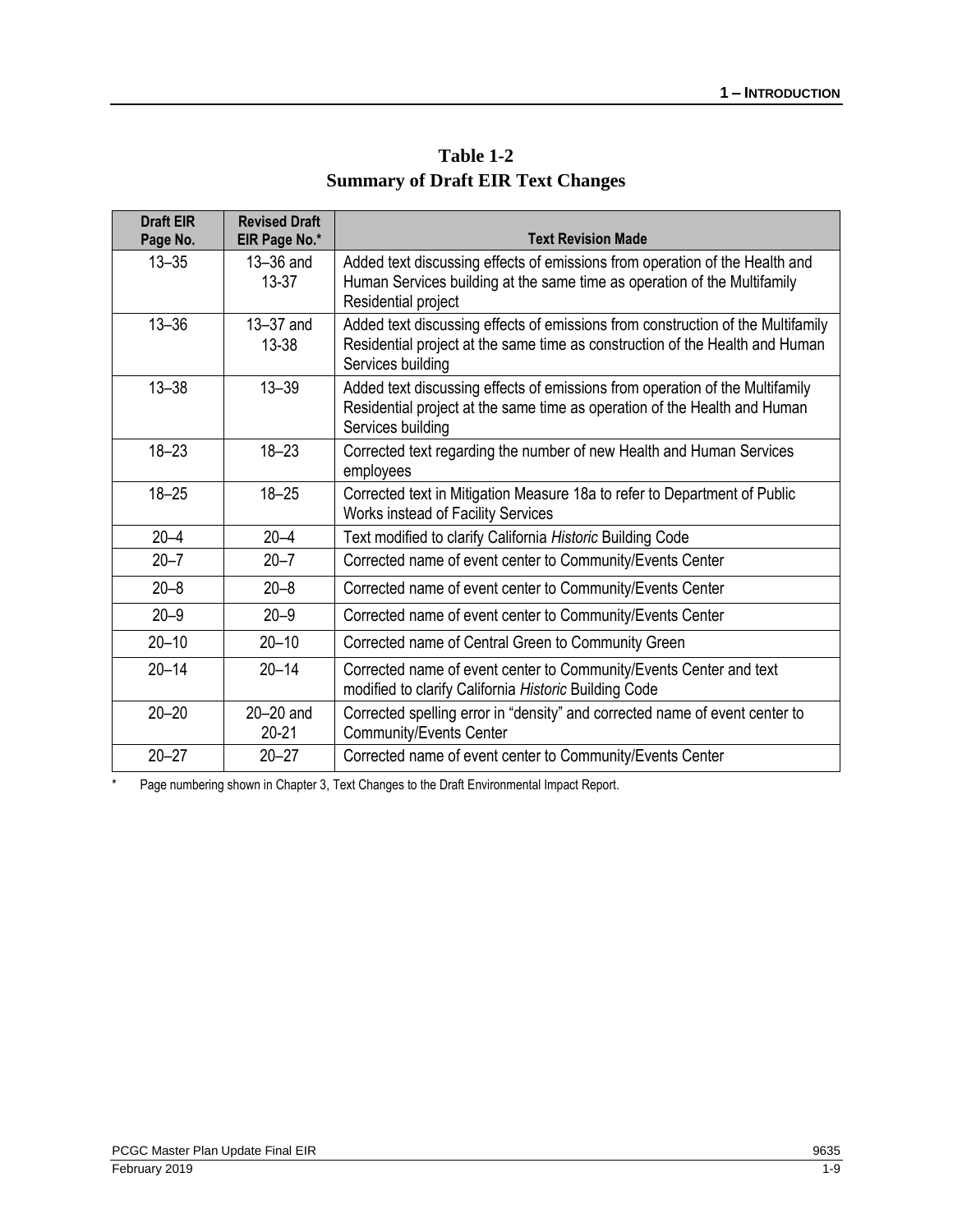| Table 1-2                                |
|------------------------------------------|
| <b>Summary of Draft EIR Text Changes</b> |

| <b>Draft EIR</b><br>Page No. | <b>Revised Draft</b><br>EIR Page No.* | <b>Text Revision Made</b>                                                                                                                                                            |
|------------------------------|---------------------------------------|--------------------------------------------------------------------------------------------------------------------------------------------------------------------------------------|
| $13 - 35$                    | 13-36 and<br>$13 - 37$                | Added text discussing effects of emissions from operation of the Health and<br>Human Services building at the same time as operation of the Multifamily<br>Residential project       |
| $13 - 36$                    | 13-37 and<br>13-38                    | Added text discussing effects of emissions from construction of the Multifamily<br>Residential project at the same time as construction of the Health and Human<br>Services building |
| $13 - 38$                    | $13 - 39$                             | Added text discussing effects of emissions from operation of the Multifamily<br>Residential project at the same time as operation of the Health and Human<br>Services building       |
| $18 - 23$                    | $18 - 23$                             | Corrected text regarding the number of new Health and Human Services<br>employees                                                                                                    |
| $18 - 25$                    | $18 - 25$                             | Corrected text in Mitigation Measure 18a to refer to Department of Public<br>Works instead of Facility Services                                                                      |
| $20 - 4$                     | $20 - 4$                              | Text modified to clarify California Historic Building Code                                                                                                                           |
| $20 - 7$                     | $20 - 7$                              | Corrected name of event center to Community/Events Center                                                                                                                            |
| $20 - 8$                     | $20 - 8$                              | Corrected name of event center to Community/Events Center                                                                                                                            |
| $20 - 9$                     | $20 - 9$                              | Corrected name of event center to Community/Events Center                                                                                                                            |
| $20 - 10$                    | $20 - 10$                             | Corrected name of Central Green to Community Green                                                                                                                                   |
| $20 - 14$                    | $20 - 14$                             | Corrected name of event center to Community/Events Center and text<br>modified to clarify California Historic Building Code                                                          |
| $20 - 20$                    | $20-20$ and<br>$20 - 21$              | Corrected spelling error in "density" and corrected name of event center to<br><b>Community/Events Center</b>                                                                        |
| $20 - 27$                    | $20 - 27$                             | Corrected name of event center to Community/Events Center                                                                                                                            |

\* Page numbering shown in Chapter 3, Text Changes to the Draft Environmental Impact Report.